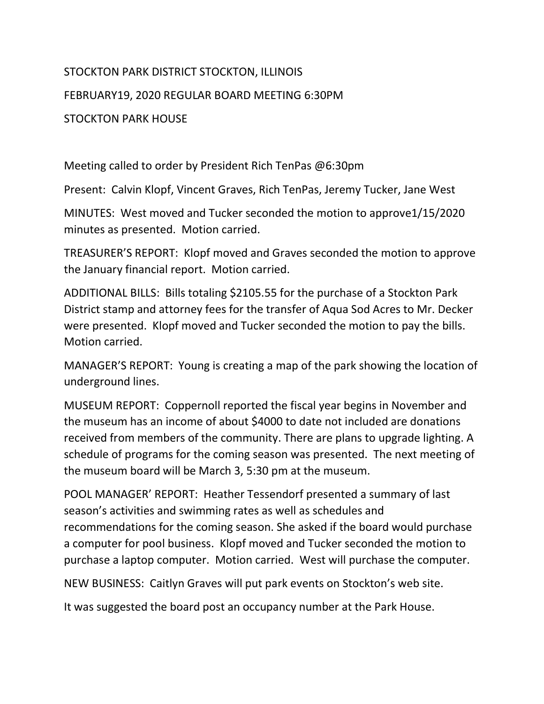## STOCKTON PARK DISTRICT STOCKTON, ILLINOIS FEBRUARY19, 2020 REGULAR BOARD MEETING 6:30PM STOCKTON PARK HOUSE

Meeting called to order by President Rich TenPas @6:30pm

Present: Calvin Klopf, Vincent Graves, Rich TenPas, Jeremy Tucker, Jane West

MINUTES: West moved and Tucker seconded the motion to approve1/15/2020 minutes as presented. Motion carried.

TREASURER'S REPORT: Klopf moved and Graves seconded the motion to approve the January financial report. Motion carried.

ADDITIONAL BILLS: Bills totaling \$2105.55 for the purchase of a Stockton Park District stamp and attorney fees for the transfer of Aqua Sod Acres to Mr. Decker were presented. Klopf moved and Tucker seconded the motion to pay the bills. Motion carried.

MANAGER'S REPORT: Young is creating a map of the park showing the location of underground lines.

MUSEUM REPORT: Coppernoll reported the fiscal year begins in November and the museum has an income of about \$4000 to date not included are donations received from members of the community. There are plans to upgrade lighting. A schedule of programs for the coming season was presented. The next meeting of the museum board will be March 3, 5:30 pm at the museum.

POOL MANAGER' REPORT: Heather Tessendorf presented a summary of last season's activities and swimming rates as well as schedules and recommendations for the coming season. She asked if the board would purchase a computer for pool business. Klopf moved and Tucker seconded the motion to purchase a laptop computer. Motion carried. West will purchase the computer.

NEW BUSINESS: Caitlyn Graves will put park events on Stockton's web site.

It was suggested the board post an occupancy number at the Park House.